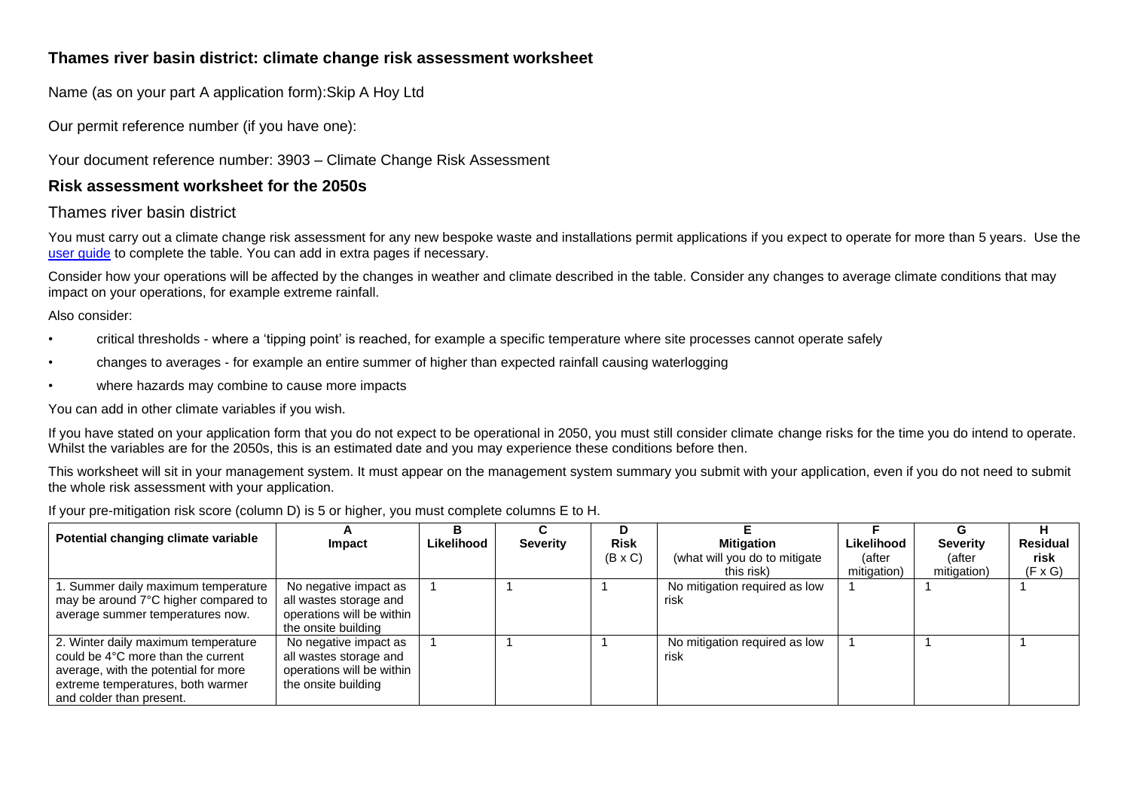# **Thames river basin district: climate change risk assessment worksheet**

Name (as on your part A application form):Skip A Hoy Ltd

Our permit reference number (if you have one):

#### Your document reference number: 3903 – Climate Change Risk Assessment

## **Risk assessment worksheet for the 2050s**

## Thames river basin district

You must carry out a climate change risk assessment for any new bespoke waste and installations permit applications if you expect to operate for more than 5 years. Use the [user guide](https://www.gov.uk/guidance/adapting-to-climate-change-risk-assessment-for-your-environmental-permit) to complete the table. You can add in extra pages if necessary.

Consider how your operations will be affected by the changes in weather and climate described in the table. Consider any changes to average climate conditions that may impact on your operations, for example extreme rainfall.

Also consider:

- critical thresholds where a 'tipping point' is reached, for example a specific temperature where site processes cannot operate safely
- changes to averages for example an entire summer of higher than expected rainfall causing waterlogging
- where hazards may combine to cause more impacts

You can add in other climate variables if you wish.

If you have stated on your application form that you do not expect to be operational in 2050, you must still consider climate change risks for the time you do intend to operate. Whilst the variables are for the 2050s, this is an estimated date and you may experience these conditions before then.

This worksheet will sit in your management system. It must appear on the management system summary you submit with your application, even if you do not need to submit the whole risk assessment with your application.

#### If your pre-mitigation risk score (column D) is 5 or higher, you must complete columns E to H.

| Potential changing climate variable                                                                                                                                                | Impact                                                                                              | Likelihood | <b>Severity</b> | D<br><b>Risk</b> | <b>Mitigation</b>                           | Likelihood            | <b>Severity</b>       | <b>Residual</b>        |
|------------------------------------------------------------------------------------------------------------------------------------------------------------------------------------|-----------------------------------------------------------------------------------------------------|------------|-----------------|------------------|---------------------------------------------|-----------------------|-----------------------|------------------------|
|                                                                                                                                                                                    |                                                                                                     |            |                 | $(B \times C)$   | (what will you do to mitigate<br>this risk) | (after<br>mitigation) | (after<br>mitigation) | risk<br>$(F \times G)$ |
| 1. Summer daily maximum temperature<br>may be around 7°C higher compared to<br>average summer temperatures now.                                                                    | No negative impact as<br>all wastes storage and<br>operations will be within<br>the onsite building |            |                 |                  | No mitigation required as low<br>risk       |                       |                       |                        |
| 2. Winter daily maximum temperature<br>could be 4°C more than the current<br>average, with the potential for more<br>extreme temperatures, both warmer<br>and colder than present. | No negative impact as<br>all wastes storage and<br>operations will be within<br>the onsite building |            |                 |                  | No mitigation required as low<br>risk       |                       |                       |                        |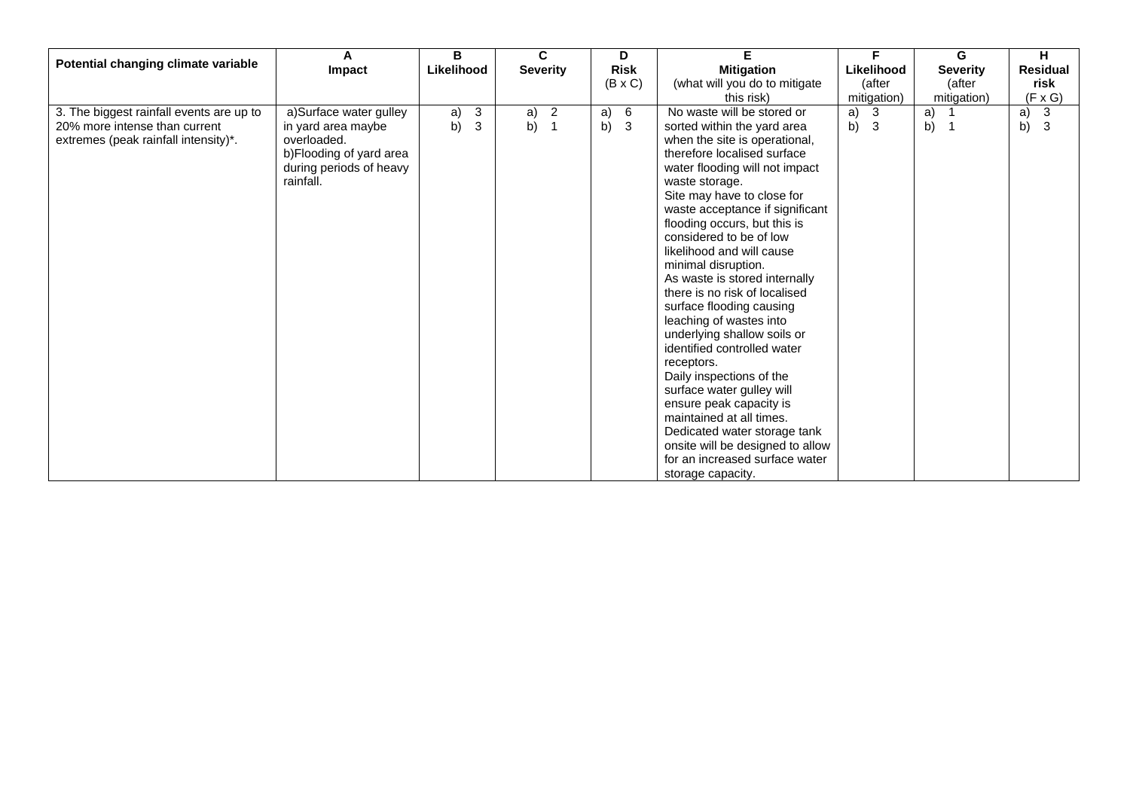|                                                                           | A                                                  | B          |                            |                 | C                                            |          | D              | F.                                                              | F                  | G               | н                             |
|---------------------------------------------------------------------------|----------------------------------------------------|------------|----------------------------|-----------------|----------------------------------------------|----------|----------------|-----------------------------------------------------------------|--------------------|-----------------|-------------------------------|
| Potential changing climate variable                                       | Impact                                             | Likelihood |                            | <b>Severity</b> |                                              |          | <b>Risk</b>    | <b>Mitigation</b>                                               | Likelihood         | <b>Severity</b> | <b>Residual</b>               |
|                                                                           |                                                    |            |                            |                 |                                              |          | $(B \times C)$ | (what will you do to mitigate                                   | (after             | (after          | risk                          |
|                                                                           |                                                    |            |                            |                 |                                              |          |                | this risk)                                                      | mitigation)        | mitigation)     | $(F \times G)$                |
| 3. The biggest rainfall events are up to<br>20% more intense than current | a)Surface water gulley<br>in yard area maybe       | a)<br>b)   | $\mathbf{3}$<br>$\sqrt{3}$ | a)<br>b)        | $\overline{\phantom{0}}$ 2<br>$\overline{1}$ | a)<br>b) | 6<br>3         | No waste will be stored or<br>sorted within the yard area       | 3<br>a)<br>b)<br>3 | a)<br>b)<br>- 1 | $\mathbf{3}$<br>a)<br>3<br>b) |
| extremes (peak rainfall intensity)*.                                      | overloaded.                                        |            |                            |                 |                                              |          |                | when the site is operational,                                   |                    |                 |                               |
|                                                                           | b)Flooding of yard area<br>during periods of heavy |            |                            |                 |                                              |          |                | therefore localised surface<br>water flooding will not impact   |                    |                 |                               |
|                                                                           | rainfall.                                          |            |                            |                 |                                              |          |                | waste storage.                                                  |                    |                 |                               |
|                                                                           |                                                    |            |                            |                 |                                              |          |                | Site may have to close for                                      |                    |                 |                               |
|                                                                           |                                                    |            |                            |                 |                                              |          |                | waste acceptance if significant<br>flooding occurs, but this is |                    |                 |                               |
|                                                                           |                                                    |            |                            |                 |                                              |          |                | considered to be of low                                         |                    |                 |                               |
|                                                                           |                                                    |            |                            |                 |                                              |          |                | likelihood and will cause<br>minimal disruption.                |                    |                 |                               |
|                                                                           |                                                    |            |                            |                 |                                              |          |                | As waste is stored internally                                   |                    |                 |                               |
|                                                                           |                                                    |            |                            |                 |                                              |          |                | there is no risk of localised                                   |                    |                 |                               |
|                                                                           |                                                    |            |                            |                 |                                              |          |                | surface flooding causing<br>leaching of wastes into             |                    |                 |                               |
|                                                                           |                                                    |            |                            |                 |                                              |          |                | underlying shallow soils or                                     |                    |                 |                               |
|                                                                           |                                                    |            |                            |                 |                                              |          |                | identified controlled water                                     |                    |                 |                               |
|                                                                           |                                                    |            |                            |                 |                                              |          |                | receptors.<br>Daily inspections of the                          |                    |                 |                               |
|                                                                           |                                                    |            |                            |                 |                                              |          |                | surface water gulley will                                       |                    |                 |                               |
|                                                                           |                                                    |            |                            |                 |                                              |          |                | ensure peak capacity is<br>maintained at all times.             |                    |                 |                               |
|                                                                           |                                                    |            |                            |                 |                                              |          |                | Dedicated water storage tank                                    |                    |                 |                               |
|                                                                           |                                                    |            |                            |                 |                                              |          |                | onsite will be designed to allow                                |                    |                 |                               |
|                                                                           |                                                    |            |                            |                 |                                              |          |                | for an increased surface water                                  |                    |                 |                               |
|                                                                           |                                                    |            |                            |                 |                                              |          |                | storage capacity.                                               |                    |                 |                               |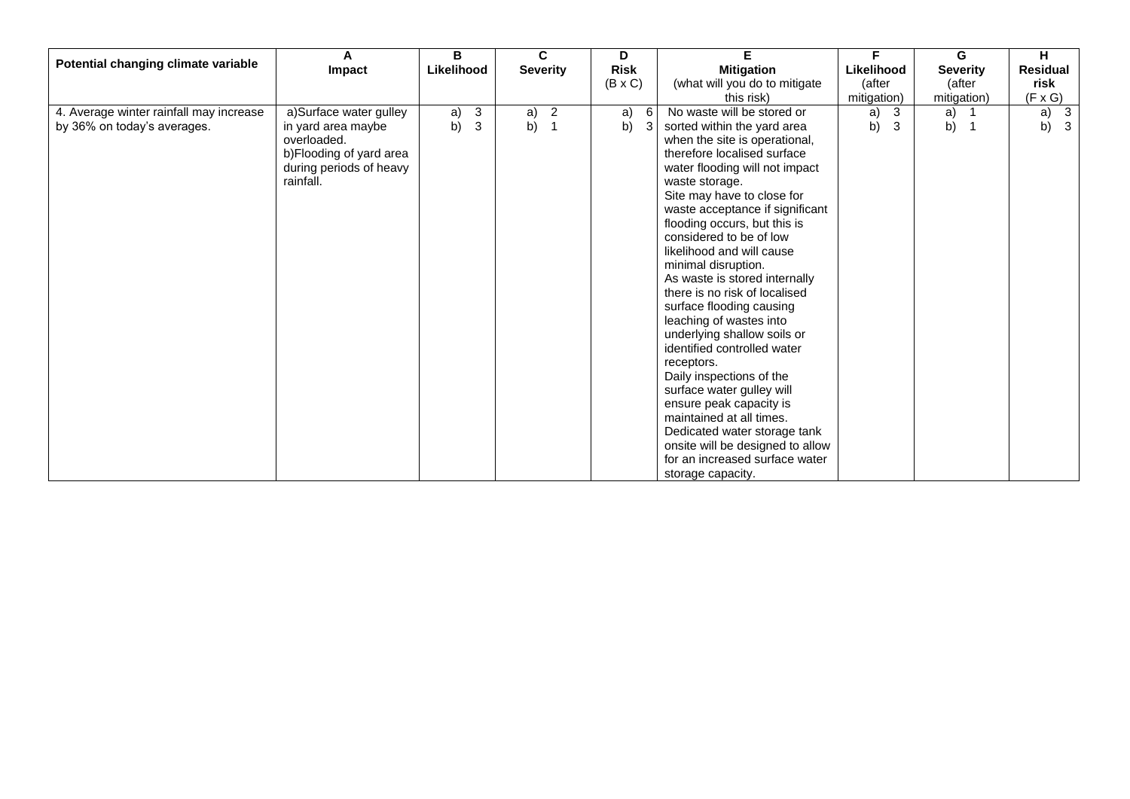|                                         | A                       | B          |              |                 | C.             | D              |   | Е                                | F           | G               | н                  |
|-----------------------------------------|-------------------------|------------|--------------|-----------------|----------------|----------------|---|----------------------------------|-------------|-----------------|--------------------|
| Potential changing climate variable     | Impact                  | Likelihood |              | <b>Severity</b> |                | <b>Risk</b>    |   | <b>Mitigation</b>                | Likelihood  | <b>Severity</b> | <b>Residual</b>    |
|                                         |                         |            |              |                 |                | $(B \times C)$ |   | (what will you do to mitigate    | (after      | (after          | risk               |
|                                         |                         |            |              |                 |                |                |   | this risk)                       | mitigation) | mitigation)     | $(F \times G)$     |
| 4. Average winter rainfall may increase | a)Surface water gulley  | a)         | $\mathbf{3}$ | a)              | $\overline{2}$ | a)             | 6 | No waste will be stored or       | 3<br>a)     | a)              | a)<br>3            |
| by 36% on today's averages.             | in yard area maybe      | b)         | $\mathsf 3$  | b)              | $\overline{1}$ | b)             | 3 | sorted within the yard area      | b)<br>3     | b)              | b)<br>$\mathbf{3}$ |
|                                         | overloaded.             |            |              |                 |                |                |   | when the site is operational,    |             |                 |                    |
|                                         | b)Flooding of yard area |            |              |                 |                |                |   | therefore localised surface      |             |                 |                    |
|                                         | during periods of heavy |            |              |                 |                |                |   | water flooding will not impact   |             |                 |                    |
|                                         | rainfall.               |            |              |                 |                |                |   | waste storage.                   |             |                 |                    |
|                                         |                         |            |              |                 |                |                |   | Site may have to close for       |             |                 |                    |
|                                         |                         |            |              |                 |                |                |   | waste acceptance if significant  |             |                 |                    |
|                                         |                         |            |              |                 |                |                |   | flooding occurs, but this is     |             |                 |                    |
|                                         |                         |            |              |                 |                |                |   | considered to be of low          |             |                 |                    |
|                                         |                         |            |              |                 |                |                |   | likelihood and will cause        |             |                 |                    |
|                                         |                         |            |              |                 |                |                |   | minimal disruption.              |             |                 |                    |
|                                         |                         |            |              |                 |                |                |   | As waste is stored internally    |             |                 |                    |
|                                         |                         |            |              |                 |                |                |   | there is no risk of localised    |             |                 |                    |
|                                         |                         |            |              |                 |                |                |   | surface flooding causing         |             |                 |                    |
|                                         |                         |            |              |                 |                |                |   | leaching of wastes into          |             |                 |                    |
|                                         |                         |            |              |                 |                |                |   | underlying shallow soils or      |             |                 |                    |
|                                         |                         |            |              |                 |                |                |   | identified controlled water      |             |                 |                    |
|                                         |                         |            |              |                 |                |                |   | receptors.                       |             |                 |                    |
|                                         |                         |            |              |                 |                |                |   | Daily inspections of the         |             |                 |                    |
|                                         |                         |            |              |                 |                |                |   | surface water gulley will        |             |                 |                    |
|                                         |                         |            |              |                 |                |                |   | ensure peak capacity is          |             |                 |                    |
|                                         |                         |            |              |                 |                |                |   | maintained at all times.         |             |                 |                    |
|                                         |                         |            |              |                 |                |                |   | Dedicated water storage tank     |             |                 |                    |
|                                         |                         |            |              |                 |                |                |   | onsite will be designed to allow |             |                 |                    |
|                                         |                         |            |              |                 |                |                |   | for an increased surface water   |             |                 |                    |
|                                         |                         |            |              |                 |                |                |   | storage capacity.                |             |                 |                    |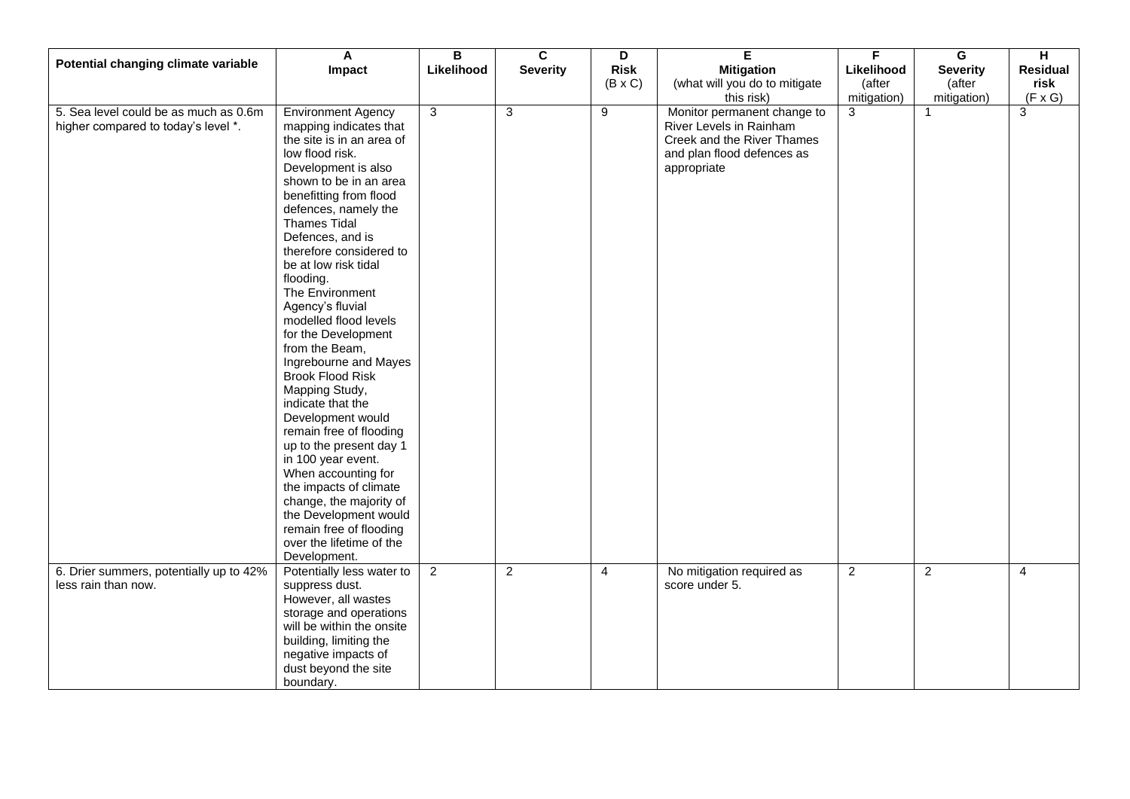| Potential changing climate variable     | A                         | $\overline{B}$ | $\overline{\mathbf{c}}$ | D              | E                             | F.             | $\overline{\mathbf{G}}$ | $\overline{H}$  |
|-----------------------------------------|---------------------------|----------------|-------------------------|----------------|-------------------------------|----------------|-------------------------|-----------------|
|                                         | Impact                    | Likelihood     | <b>Severity</b>         | <b>Risk</b>    | <b>Mitigation</b>             | Likelihood     | <b>Severity</b>         | <b>Residual</b> |
|                                         |                           |                |                         | $(B \times C)$ | (what will you do to mitigate | (after         | (after                  | risk            |
|                                         |                           |                |                         |                | this risk)                    | mitigation)    | mitigation)             | $(F \times G)$  |
| 5. Sea level could be as much as 0.6m   |                           |                |                         | $\overline{9}$ |                               |                | $\overline{1}$          | 3               |
|                                         | Environment Agency        | 3              | 3                       |                | Monitor permanent change to   | 3              |                         |                 |
| higher compared to today's level *.     | mapping indicates that    |                |                         |                | River Levels in Rainham       |                |                         |                 |
|                                         | the site is in an area of |                |                         |                | Creek and the River Thames    |                |                         |                 |
|                                         | low flood risk.           |                |                         |                | and plan flood defences as    |                |                         |                 |
|                                         | Development is also       |                |                         |                | appropriate                   |                |                         |                 |
|                                         | shown to be in an area    |                |                         |                |                               |                |                         |                 |
|                                         | benefitting from flood    |                |                         |                |                               |                |                         |                 |
|                                         | defences, namely the      |                |                         |                |                               |                |                         |                 |
|                                         |                           |                |                         |                |                               |                |                         |                 |
|                                         | <b>Thames Tidal</b>       |                |                         |                |                               |                |                         |                 |
|                                         | Defences, and is          |                |                         |                |                               |                |                         |                 |
|                                         | therefore considered to   |                |                         |                |                               |                |                         |                 |
|                                         | be at low risk tidal      |                |                         |                |                               |                |                         |                 |
|                                         | flooding.                 |                |                         |                |                               |                |                         |                 |
|                                         | The Environment           |                |                         |                |                               |                |                         |                 |
|                                         | Agency's fluvial          |                |                         |                |                               |                |                         |                 |
|                                         | modelled flood levels     |                |                         |                |                               |                |                         |                 |
|                                         | for the Development       |                |                         |                |                               |                |                         |                 |
|                                         | from the Beam,            |                |                         |                |                               |                |                         |                 |
|                                         |                           |                |                         |                |                               |                |                         |                 |
|                                         | Ingrebourne and Mayes     |                |                         |                |                               |                |                         |                 |
|                                         | <b>Brook Flood Risk</b>   |                |                         |                |                               |                |                         |                 |
|                                         | Mapping Study,            |                |                         |                |                               |                |                         |                 |
|                                         | indicate that the         |                |                         |                |                               |                |                         |                 |
|                                         | Development would         |                |                         |                |                               |                |                         |                 |
|                                         | remain free of flooding   |                |                         |                |                               |                |                         |                 |
|                                         | up to the present day 1   |                |                         |                |                               |                |                         |                 |
|                                         | in 100 year event.        |                |                         |                |                               |                |                         |                 |
|                                         | When accounting for       |                |                         |                |                               |                |                         |                 |
|                                         | the impacts of climate    |                |                         |                |                               |                |                         |                 |
|                                         |                           |                |                         |                |                               |                |                         |                 |
|                                         | change, the majority of   |                |                         |                |                               |                |                         |                 |
|                                         | the Development would     |                |                         |                |                               |                |                         |                 |
|                                         | remain free of flooding   |                |                         |                |                               |                |                         |                 |
|                                         | over the lifetime of the  |                |                         |                |                               |                |                         |                 |
|                                         | Development.              |                |                         |                |                               |                |                         |                 |
| 6. Drier summers, potentially up to 42% | Potentially less water to | $\overline{2}$ | $\overline{2}$          | $\overline{4}$ | No mitigation required as     | $\overline{2}$ | $\overline{2}$          | $\overline{4}$  |
| less rain than now.                     | suppress dust.            |                |                         |                | score under 5.                |                |                         |                 |
|                                         | However, all wastes       |                |                         |                |                               |                |                         |                 |
|                                         | storage and operations    |                |                         |                |                               |                |                         |                 |
|                                         |                           |                |                         |                |                               |                |                         |                 |
|                                         | will be within the onsite |                |                         |                |                               |                |                         |                 |
|                                         | building, limiting the    |                |                         |                |                               |                |                         |                 |
|                                         | negative impacts of       |                |                         |                |                               |                |                         |                 |
|                                         | dust beyond the site      |                |                         |                |                               |                |                         |                 |
|                                         | boundary.                 |                |                         |                |                               |                |                         |                 |